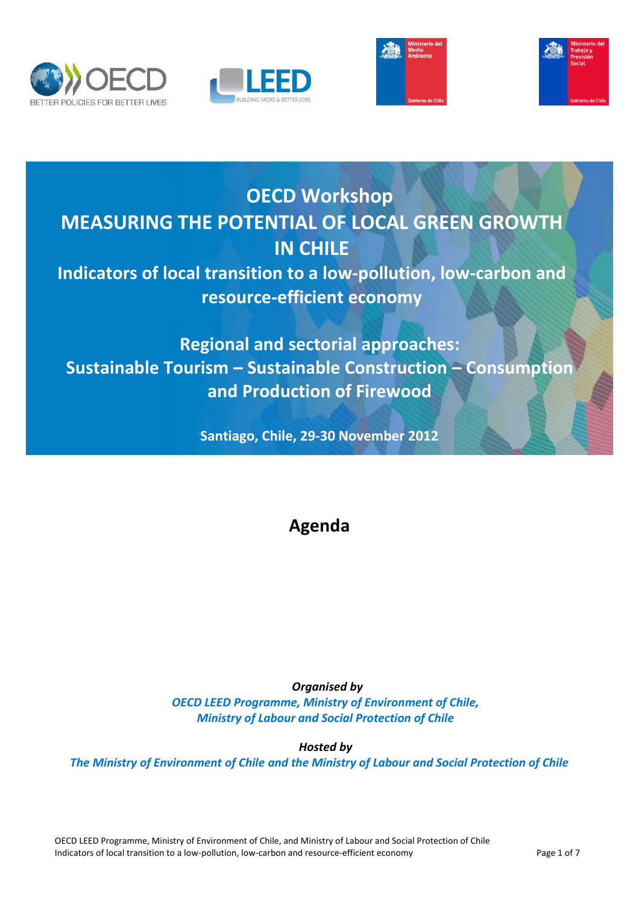







# **OECD Workshop MEASURING THE POTENTIAL OF LOCAL GREEN GROWTH IN CHILE Indicators of local transition to a low-pollution, low-carbon and resource-efficient economy**

# **Regional and sectorial approaches: Sustainable Tourism – Sustainable Construction – Consumption and Production of Firewood**

**Santiago, Chile, 29-30 November 2012**

# **Agenda**

# **Organised by**

*OECD LEED Programme, Ministry of Environment of Chile, Ministry of Labour and Social Protection of Chile*

*Hosted by*

*The Ministry of Environment of Chile and the Ministry of Labour and Social Protection of Chile*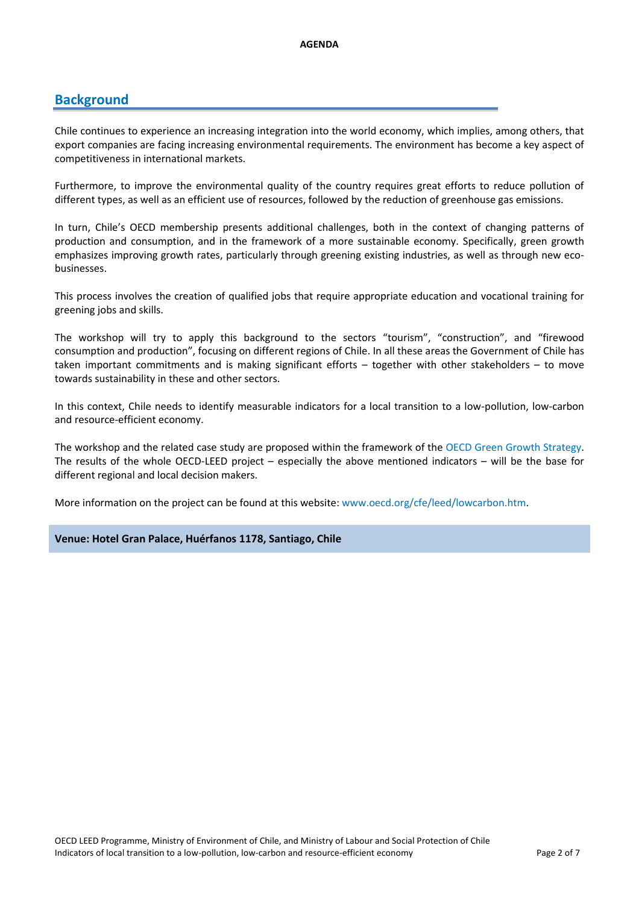## **Background**

Chile continues to experience an increasing integration into the world economy, which implies, among others, that export companies are facing increasing environmental requirements. The environment has become a key aspect of competitiveness in international markets.

Furthermore, to improve the environmental quality of the country requires great efforts to reduce pollution of different types, as well as an efficient use of resources, followed by the reduction of greenhouse gas emissions.

In turn, Chile's OECD membership presents additional challenges, both in the context of changing patterns of production and consumption, and in the framework of a more sustainable economy. Specifically, green growth emphasizes improving growth rates, particularly through greening existing industries, as well as through new ecobusinesses.

This process involves the creation of qualified jobs that require appropriate education and vocational training for greening jobs and skills.

The workshop will try to apply this background to the sectors "tourism", "construction", and "firewood consumption and production", focusing on different regions of Chile. In all these areas the Government of Chile has taken important commitments and is making significant efforts – together with other stakeholders – to move towards sustainability in these and other sectors.

In this context, Chile needs to identify measurable indicators for a local transition to a low-pollution, low-carbon and resource-efficient economy.

The workshop and the related case study are proposed within the framework of the [OECD Green Growth Strategy.](mailto:http://www.oecd.org/document/10/0,3746,en_2649_37465_44076170_1_1_1_37465,00.html)  The results of the whole OECD-LEED project – especially the above mentioned indicators – will be the base for different regional and local decision makers.

More information on the project can be found at this website: www.oecd.org/cfe/leed/lowcarbon.htm.

### **Venue: Hotel Gran Palace, Huérfanos 1178, Santiago, Chile**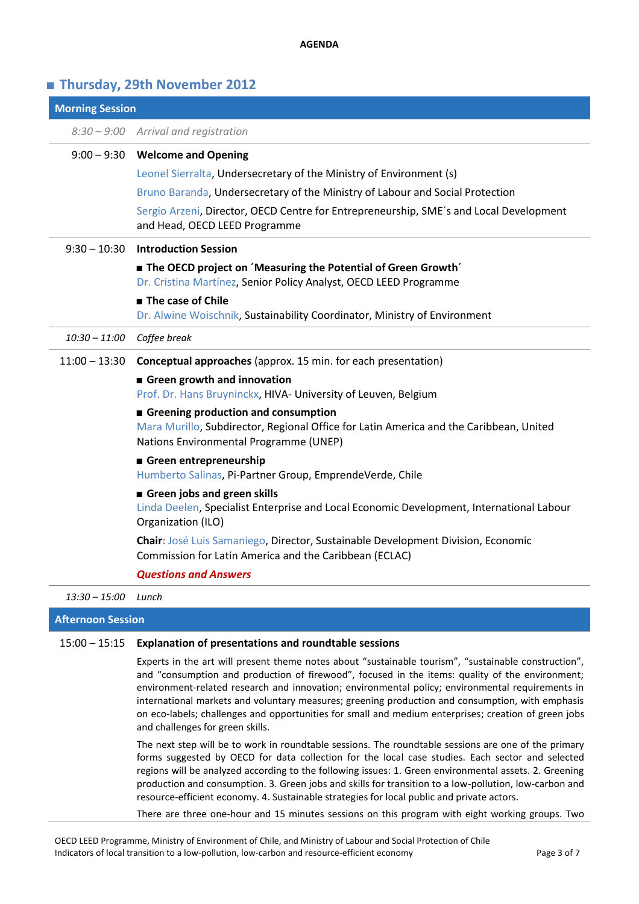#### **AGENDA**

## **■ Thursday, 29th November 2012**

| <b>Morning Session</b>   |                                                                                                                                            |
|--------------------------|--------------------------------------------------------------------------------------------------------------------------------------------|
|                          | 8:30 - 9:00 Arrival and registration                                                                                                       |
| $9:00 - 9:30$            | <b>Welcome and Opening</b>                                                                                                                 |
|                          | Leonel Sierralta, Undersecretary of the Ministry of Environment (s)                                                                        |
|                          | Bruno Baranda, Undersecretary of the Ministry of Labour and Social Protection                                                              |
|                          | Sergio Arzeni, Director, OECD Centre for Entrepreneurship, SME's and Local Development<br>and Head, OECD LEED Programme                    |
| $9:30 - 10:30$           | <b>Introduction Session</b>                                                                                                                |
|                          | <b>The OECD project on 'Measuring the Potential of Green Growth'</b>                                                                       |
|                          | Dr. Cristina Martínez, Senior Policy Analyst, OECD LEED Programme                                                                          |
|                          | The case of Chile                                                                                                                          |
|                          | Dr. Alwine Woischnik, Sustainability Coordinator, Ministry of Environment                                                                  |
| $10:30 - 11:00$          | Coffee break                                                                                                                               |
| $11:00 - 13:30$          | Conceptual approaches (approx. 15 min. for each presentation)                                                                              |
|                          | Green growth and innovation                                                                                                                |
|                          | Prof. Dr. Hans Bruyninckx, HIVA- University of Leuven, Belgium                                                                             |
|                          | Greening production and consumption<br>Mara Murillo, Subdirector, Regional Office for Latin America and the Caribbean, United              |
|                          | Nations Environmental Programme (UNEP)                                                                                                     |
|                          | Green entrepreneurship                                                                                                                     |
|                          | Humberto Salinas, Pi-Partner Group, EmprendeVerde, Chile                                                                                   |
|                          | Green jobs and green skills                                                                                                                |
|                          | Linda Deelen, Specialist Enterprise and Local Economic Development, International Labour<br>Organization (ILO)                             |
|                          | Chair: José Luis Samaniego, Director, Sustainable Development Division, Economic<br>Commission for Latin America and the Caribbean (ECLAC) |
|                          | <b>Questions and Answers</b>                                                                                                               |
| $13:30 - 15:00$          | Lunch                                                                                                                                      |
| <b>Afternoon Session</b> |                                                                                                                                            |

#### 15:00 – 15:15 **Explanation of presentations and roundtable sessions**

Experts in the art will present theme notes about "sustainable tourism", "sustainable construction", and "consumption and production of firewood", focused in the items: quality of the environment; environment-related research and innovation; environmental policy; environmental requirements in international markets and voluntary measures; greening production and consumption, with emphasis on eco-labels; challenges and opportunities for small and medium enterprises; creation of green jobs and challenges for green skills.

The next step will be to work in roundtable sessions. The roundtable sessions are one of the primary forms suggested by OECD for data collection for the local case studies. Each sector and selected regions will be analyzed according to the following issues: 1. Green environmental assets. 2. Greening production and consumption. 3. Green jobs and skills for transition to a low-pollution, low-carbon and resource-efficient economy. 4. Sustainable strategies for local public and private actors.

There are three one-hour and 15 minutes sessions on this program with eight working groups. Two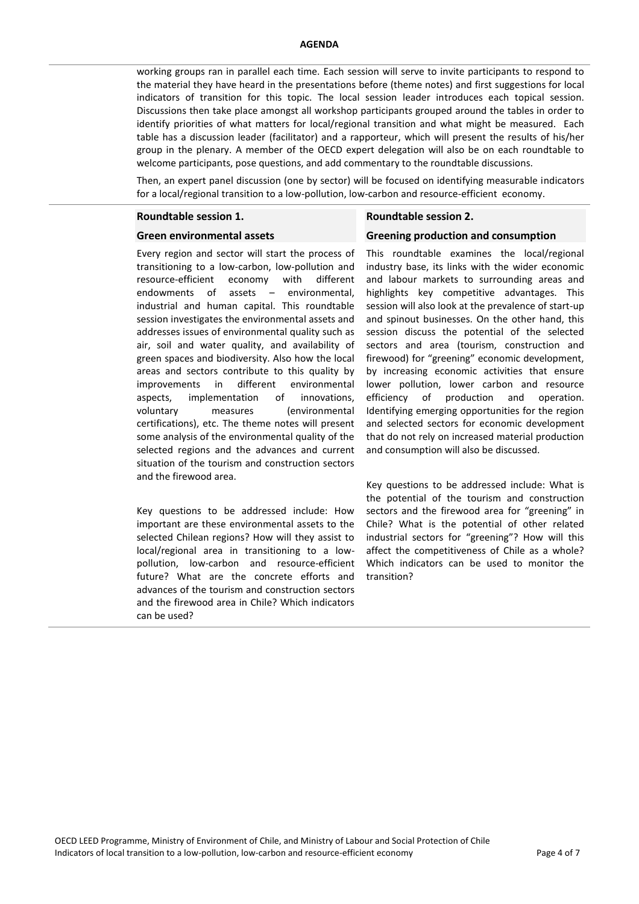working groups ran in parallel each time. Each session will serve to invite participants to respond to the material they have heard in the presentations before (theme notes) and first suggestions for local indicators of transition for this topic. The local session leader introduces each topical session. Discussions then take place amongst all workshop participants grouped around the tables in order to identify priorities of what matters for local/regional transition and what might be measured. Each table has a discussion leader (facilitator) and a rapporteur, which will present the results of his/her group in the plenary. A member of the OECD expert delegation will also be on each roundtable to welcome participants, pose questions, and add commentary to the roundtable discussions.

Then, an expert panel discussion (one by sector) will be focused on identifying measurable indicators for a local/regional transition to a low-pollution, low-carbon and resource-efficient economy.

#### **Roundtable session 1.**

#### **Green environmental assets**

Every region and sector will start the process of transitioning to a low-carbon, low-pollution and resource-efficient economy with different endowments of assets – environmental, industrial and human capital. This roundtable session investigates the environmental assets and addresses issues of environmental quality such as air, soil and water quality, and availability of green spaces and biodiversity. Also how the local areas and sectors contribute to this quality by improvements in different environmental aspects, implementation of innovations, voluntary measures (environmental certifications), etc. The theme notes will present some analysis of the environmental quality of the selected regions and the advances and current situation of the tourism and construction sectors and the firewood area.

Key questions to be addressed include: How important are these environmental assets to the selected Chilean regions? How will they assist to local/regional area in transitioning to a lowpollution, low-carbon and resource-efficient future? What are the concrete efforts and advances of the tourism and construction sectors and the firewood area in Chile? Which indicators can be used?

#### **Roundtable session 2.**

#### **Greening production and consumption**

This roundtable examines the local/regional industry base, its links with the wider economic and labour markets to surrounding areas and highlights key competitive advantages. This session will also look at the prevalence of start-up and spinout businesses. On the other hand, this session discuss the potential of the selected sectors and area (tourism, construction and firewood) for "greening" economic development, by increasing economic activities that ensure lower pollution, lower carbon and resource efficiency of production and operation. Identifying emerging opportunities for the region and selected sectors for economic development that do not rely on increased material production and consumption will also be discussed.

Key questions to be addressed include: What is the potential of the tourism and construction sectors and the firewood area for "greening" in Chile? What is the potential of other related industrial sectors for "greening"? How will this affect the competitiveness of Chile as a whole? Which indicators can be used to monitor the transition?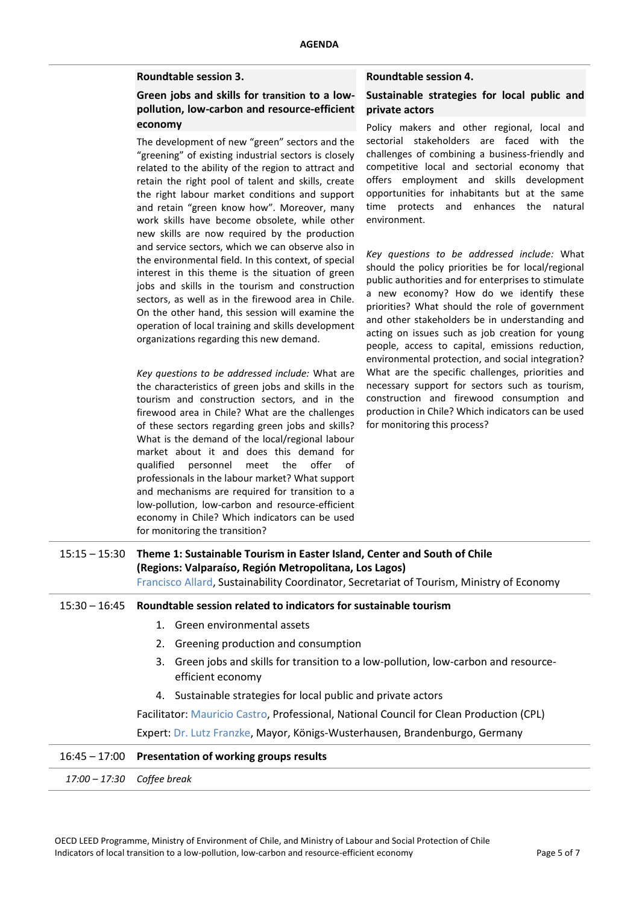### **Roundtable session 3.**

## **Green jobs and skills for transition to a lowpollution, low-carbon and resource-efficient economy**

The development of new "green" sectors and the "greening" of existing industrial sectors is closely related to the ability of the region to attract and retain the right pool of talent and skills, create the right labour market conditions and support and retain "green know how". Moreover, many work skills have become obsolete, while other new skills are now required by the production and service sectors, which we can observe also in the environmental field. In this context, of special interest in this theme is the situation of green jobs and skills in the tourism and construction sectors, as well as in the firewood area in Chile. On the other hand, this session will examine the operation of local training and skills development organizations regarding this new demand.

*Key questions to be addressed include:* What are the characteristics of green jobs and skills in the tourism and construction sectors, and in the firewood area in Chile? What are the challenges of these sectors regarding green jobs and skills? What is the demand of the local/regional labour market about it and does this demand for qualified personnel meet the offer of professionals in the labour market? What support and mechanisms are required for transition to a low-pollution, low-carbon and resource-efficient economy in Chile? Which indicators can be used for monitoring the transition?

#### **Roundtable session 4.**

### **Sustainable strategies for local public and private actors**

Policy makers and other regional, local and sectorial stakeholders are faced with the challenges of combining a business-friendly and competitive local and sectorial economy that offers employment and skills development opportunities for inhabitants but at the same time protects and enhances the natural environment.

*Key questions to be addressed include:* What should the policy priorities be for local/regional public authorities and for enterprises to stimulate a new economy? How do we identify these priorities? What should the role of government and other stakeholders be in understanding and acting on issues such as job creation for young people, access to capital, emissions reduction, environmental protection, and social integration? What are the specific challenges, priorities and necessary support for sectors such as tourism, construction and firewood consumption and production in Chile? Which indicators can be used for monitoring this process?

| 15:15 – 15:30 | Theme 1: Sustainable Tourism in Easter Island, Center and South of Chile<br>(Regions: Valparaíso, Región Metropolitana, Los Lagos)<br>Francisco Allard, Sustainability Coordinator, Secretariat of Tourism, Ministry of Economy |
|---------------|---------------------------------------------------------------------------------------------------------------------------------------------------------------------------------------------------------------------------------|
|               | $15:30 - 16:45$ Roundtable session related to indicators for sustainable tourism                                                                                                                                                |
|               | 1. Green environmental assets                                                                                                                                                                                                   |
|               | 2. Greening production and consumption                                                                                                                                                                                          |
|               | Green jobs and skills for transition to a low-pollution, low-carbon and resource-<br>3.<br>efficient economy                                                                                                                    |
|               | 4. Sustainable strategies for local public and private actors                                                                                                                                                                   |
|               | Facilitator: Mauricio Castro, Professional, National Council for Clean Production (CPL)                                                                                                                                         |
|               | Expert: Dr. Lutz Franzke, Mayor, Königs-Wusterhausen, Brandenburgo, Germany                                                                                                                                                     |
|               | $16:45 - 17:00$ Presentation of working groups results                                                                                                                                                                          |
|               |                                                                                                                                                                                                                                 |

*17:00 – 17:30 Coffee break*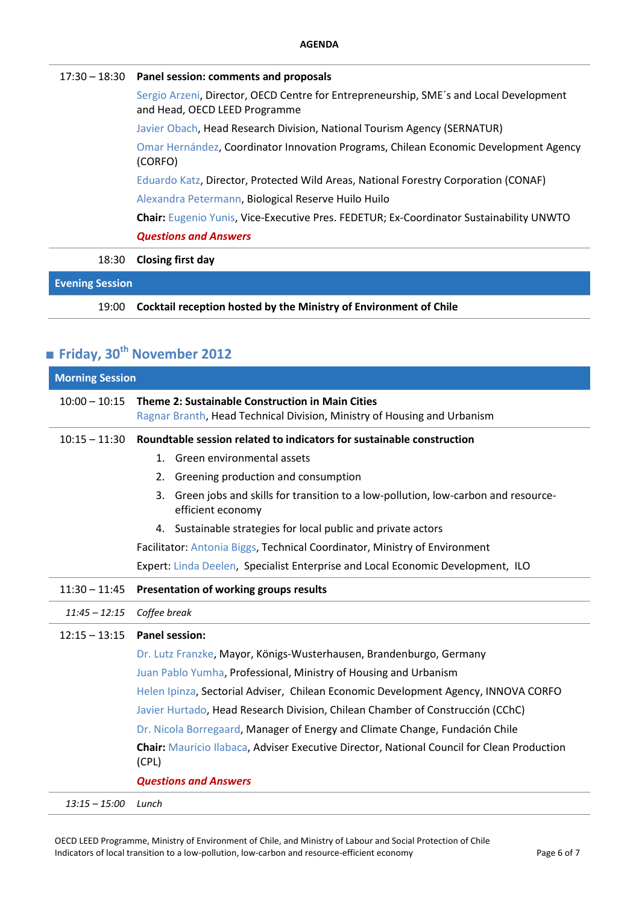### 17:30 – 18:30 **Panel session: comments and proposals**

Sergio Arzeni, Director, OECD Centre for Entrepreneurship, SME´s and Local Development and Head, OECD LEED Programme

Javier Obach, Head Research Division, National Tourism Agency (SERNATUR)

Omar Hernández, Coordinator Innovation Programs, Chilean Economic Development Agency (CORFO)

Eduardo Katz, Director, Protected Wild Areas, National Forestry Corporation (CONAF)

Alexandra Petermann, Biological Reserve Huilo Huilo

**Chair:** Eugenio Yunis, Vice-Executive Pres. FEDETUR; Ex-Coordinator Sustainability UNWTO

*Questions and Answers*

18:30 **Closing first day**

## **Evening Session**

19:00 **Cocktail reception hosted by the Ministry of Environment of Chile**

# **■ Friday, 30th November 2012**

| <b>Morning Session</b> |                                                                                                                              |
|------------------------|------------------------------------------------------------------------------------------------------------------------------|
| $10:00 - 10:15$        | Theme 2: Sustainable Construction in Main Cities<br>Ragnar Branth, Head Technical Division, Ministry of Housing and Urbanism |
| $10:15 - 11:30$        | Roundtable session related to indicators for sustainable construction                                                        |
|                        | Green environmental assets<br>1.                                                                                             |
|                        | Greening production and consumption<br>2.                                                                                    |
|                        | Green jobs and skills for transition to a low-pollution, low-carbon and resource-<br>3.<br>efficient economy                 |
|                        | 4. Sustainable strategies for local public and private actors                                                                |
|                        | Facilitator: Antonia Biggs, Technical Coordinator, Ministry of Environment                                                   |
|                        | Expert: Linda Deelen, Specialist Enterprise and Local Economic Development, ILO                                              |
| $11:30 - 11:45$        | Presentation of working groups results                                                                                       |
| $11:45 - 12:15$        | Coffee break                                                                                                                 |
| $12:15 - 13:15$        | <b>Panel session:</b>                                                                                                        |
|                        | Dr. Lutz Franzke, Mayor, Königs-Wusterhausen, Brandenburgo, Germany                                                          |
|                        | Juan Pablo Yumha, Professional, Ministry of Housing and Urbanism                                                             |
|                        | Helen Ipinza, Sectorial Adviser, Chilean Economic Development Agency, INNOVA CORFO                                           |
|                        | Javier Hurtado, Head Research Division, Chilean Chamber of Construcción (CChC)                                               |
|                        | Dr. Nicola Borregaard, Manager of Energy and Climate Change, Fundación Chile                                                 |
|                        | Chair: Mauricio Ilabaca, Adviser Executive Director, National Council for Clean Production<br>(CPL)                          |
|                        | <b>Questions and Answers</b>                                                                                                 |
| $13:15 - 15:00$        | Lunch                                                                                                                        |